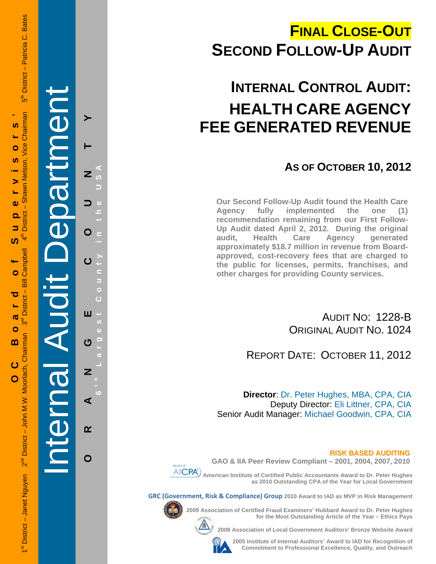## **FINAL CLOSE-OUT SECOND FOLLOW-UP AUDIT**

# **INTERNAL CONTROL AUDIT: HEALTH CARE AGENCY FEE GENERATED REVENUE**

### **AS OF OCTOBER 10, 2012**

**Our Second Follow-Up Audit found the Health Care Agency fully implemented the one (1) recommendation remaining from our First Follow-Up Audit dated April 2, 2012. During the original audit, Health Care Agency generated approximately \$18.7 million in revenue from Boardapproved, cost-recovery fees that are charged to the public for licenses, permits, franchises, and other charges for providing County services.** 

> AUDIT NO: 1228-B ORIGINAL AUDIT NO. 1024

REPORT DATE: OCTOBER 11, 2012

**Director**: Dr. Peter Hughes, MBA, CPA, CIA Deputy Director: Eli Littner, CPA, CIA Senior Audit Manager: Michael Goodwin, CPA, CIA

**RISK BASED AUDITING**



**GAO & IIA Peer Review Compliant – 2001, 2004, 2007, 2010** 

 **American Institute of Certified Public Accountants Award to Dr. Peter Hughes as 2010 Outstanding CPA of the Year for Local Government** 

**GRC (Government, Risk & Compliance) Group 2010 Award to IAD as MVP in Risk Management** 



**2009 Association of Certified Fraud Examiners' Hubbard Award to Dr. Peter Hughes** 

**2008 Association of Local Government Auditors' Bronze Website Award** 

**2005 Institute of Internal Auditors' Award to IAD for Recognition of Commitment to Professional Excellence, Quality, and Outreach**

**for the Most Outstanding Article of the Year – Ethics Pays** 

1strict – Janet Nguyen 2<sup>nd</sup> District – John M.W. Moorlach, Chairman 3<sup>rd</sup> District – Bill Campbell 4<sup>th</sup> District – Shawn Nelson, Vice Chairman 5<sup>th</sup> District – Patricia C. Bates  $\frac{1}{5}$ **OC Board of Supervisors '**  Chairman **S** Shawn Nelson, Vice S, ⋗  $\ddot{\mathbf{0}}$ **District** 5 ₹ ഗ Campbell  $\mathbf{\Omega}$  $\mathbf{I}$ ਠ **District** ൹ შ<br>თ  $\bullet$ 1st District - Janet Nguyen 2<sup>nd</sup> District - John M.W. Moorlach, Chairman m  $\overline{c}$  $\overline{O}$ 

District - Patricia C. Bates

Internal Audit Department **ORANGE COUNTY 6 t h Lar**  $\overline{z}$ O ш ෆ Z ⋖  $\alpha$ 

**g**

O

**est Count**

**y in the USA**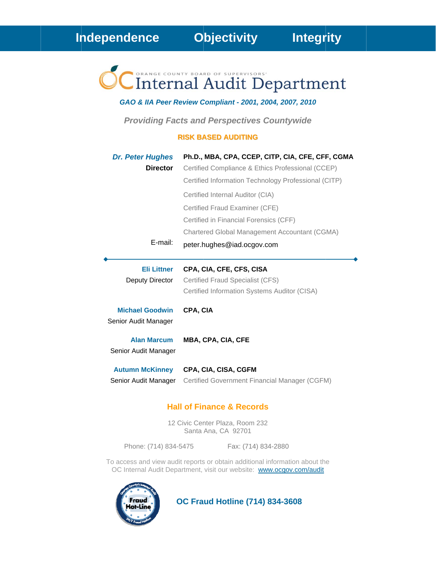# Internal Audit Department

#### GAO & IIA Peer Review Compliant - 2001, 2004, 2007, 2010

**Providing Facts and Perspectives Countywide** 

#### **RISK BASED AUDITING**

| <b>Dr. Peter Hughes</b>                        | Ph.D., MBA, CPA, CCEP, CITP, CIA, CFE, CFF, CGMA                             |
|------------------------------------------------|------------------------------------------------------------------------------|
| <b>Director</b>                                | Certified Compliance & Ethics Professional (CCEP)                            |
|                                                | Certified Information Technology Professional (CITP)                         |
|                                                | Certified Internal Auditor (CIA)                                             |
|                                                | Certified Fraud Examiner (CFE)                                               |
|                                                | Certified in Financial Forensics (CFF)                                       |
|                                                | Chartered Global Management Accountant (CGMA)                                |
| $E$ -mail:                                     | peter.hughes@iad.ocgov.com                                                   |
|                                                |                                                                              |
| <b>Eli Littner</b>                             | CPA, CIA, CFE, CFS, CISA                                                     |
| Deputy Director                                |                                                                              |
|                                                | Certified Fraud Specialist (CFS)                                             |
|                                                | Certified Information Systems Auditor (CISA)                                 |
| <b>Michael Goodwin</b>                         | CPA, CIA                                                                     |
| Senior Audit Manager                           |                                                                              |
| <b>Alan Marcum</b>                             | <b>MBA, CPA, CIA, CFE</b>                                                    |
| Senior Audit Manager                           |                                                                              |
|                                                |                                                                              |
| <b>Autumn McKinney</b><br>Senior Audit Manager | <b>CPA, CIA, CISA, CGFM</b><br>Certified Government Financial Manager (CGFM) |

### **Hall of Finance & Records**

12 Civic Center Plaza, Room 232 Santa Ana, CA 92701

Phone: (714) 834-5475

Fax: (714) 834-2880

To access and view audit reports or obtain additional information about the OC Internal Audit Department, visit our website: www.ocgov.com/audit



**OC Fraud Hotline (714) 834-3608**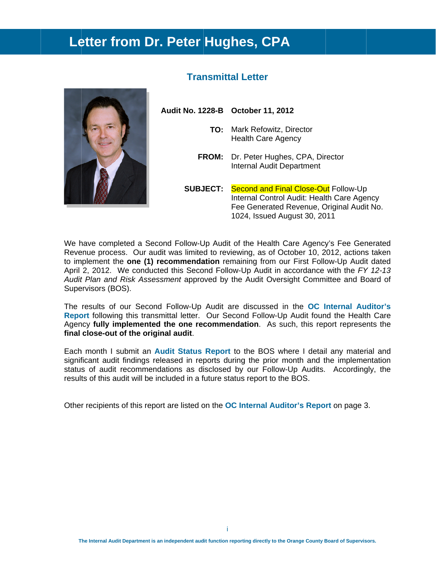### Letter from Dr. Peter Hughes, CPA



### **Transmittal Letter**

Audit No. 1228-B October 11, 2012

- TO: Mark Refowitz, Director **Health Care Agency**
- FROM: Dr. Peter Hughes, CPA, Director **Internal Audit Department**

**SUBJECT:** Second and Final Close-Out Follow-Up Internal Control Audit: Health Care Agency Fee Generated Revenue, Original Audit No. 1024, Issued August 30, 2011

We have completed a Second Follow-Up Audit of the Health Care Agency's Fee Generated Revenue process. Our audit was limited to reviewing, as of October 10, 2012, actions taken to implement the one (1) recommendation remaining from our First Follow-Up Audit dated April 2, 2012. We conducted this Second Follow-Up Audit in accordance with the FY 12-13 Audit Plan and Risk Assessment approved by the Audit Oversight Committee and Board of Supervisors (BOS).

The results of our Second Follow-Up Audit are discussed in the OC Internal Auditor's Report following this transmittal letter. Our Second Follow-Up Audit found the Health Care Agency fully implemented the one recommendation. As such, this report represents the final close-out of the original audit.

Each month I submit an Audit Status Report to the BOS where I detail any material and significant audit findings released in reports during the prior month and the implementation status of audit recommendations as disclosed by our Follow-Up Audits. Accordingly, the results of this audit will be included in a future status report to the BOS.

Other recipients of this report are listed on the OC Internal Auditor's Report on page 3.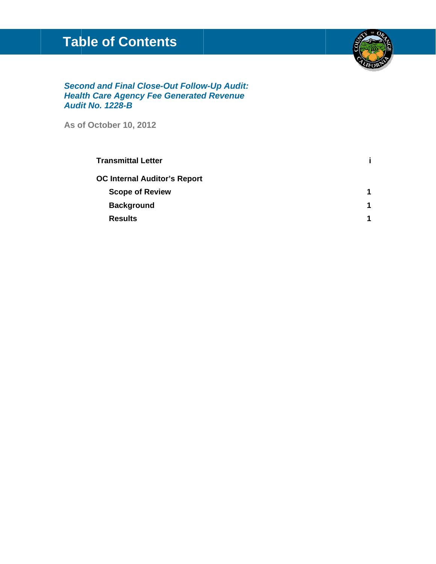### **Table of Contents**



**Second and Final Close-Out Follow-Up Audit: Health Care Agency Fee Generated Revenue** Audit No. 1228-B

As of October 10, 2012

| <b>Transmittal Letter</b>           |   |
|-------------------------------------|---|
| <b>OC Internal Auditor's Report</b> |   |
| <b>Scope of Review</b>              |   |
| <b>Background</b>                   | 1 |
| <b>Results</b>                      | 1 |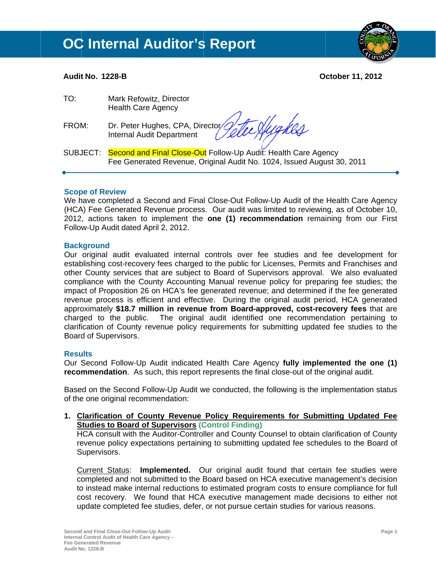### **OC Internal Auditor's Report**



#### **Audit No. 1228-B**

**October 11, 2012** 

| TO:   | Mark Refowitz, Director<br><b>Health Care Agency</b>                                                                                              |
|-------|---------------------------------------------------------------------------------------------------------------------------------------------------|
| FROM: | Dr. Peter Hughes, CPA, Director Tele Augustion                                                                                                    |
|       | SUBJECT: Second and Final Close-Out Follow-Up Audit: Health Care Agency<br>Fee Generated Revenue, Original Audit No. 1024, Issued August 30, 2011 |

#### **Scope of Review**

We have completed a Second and Final Close-Out Follow-Up Audit of the Health Care Agency (HCA) Fee Generated Revenue process. Our audit was limited to reviewing, as of October 10, 2012, actions taken to implement the one (1) recommendation remaining from our First Follow-Up Audit dated April 2, 2012.

#### **Background**

Our original audit evaluated internal controls over fee studies and fee development for establishing cost-recovery fees charged to the public for Licenses, Permits and Franchises and other County services that are subject to Board of Supervisors approval. We also evaluated compliance with the County Accounting Manual revenue policy for preparing fee studies; the impact of Proposition 26 on HCA's fee generated revenue; and determined if the fee generated revenue process is efficient and effective. During the original audit period, HCA generated approximately \$18.7 million in revenue from Board-approved, cost-recovery fees that are charged to the public. The original audit identified one recommendation pertaining to clarification of County revenue policy requirements for submitting updated fee studies to the Board of Supervisors.

### **Results**

Our Second Follow-Up Audit indicated Health Care Agency fully implemented the one (1) recommendation. As such, this report represents the final close-out of the original audit.

Based on the Second Follow-Up Audit we conducted, the following is the implementation status of the one original recommendation:

1. Clarification of County Revenue Policy Requirements for Submitting Updated Fee **Studies to Board of Supervisors (Control Finding)** 

HCA consult with the Auditor-Controller and County Counsel to obtain clarification of County revenue policy expectations pertaining to submitting updated fee schedules to the Board of Supervisors.

Current Status: Implemented. Our original audit found that certain fee studies were completed and not submitted to the Board based on HCA executive management's decision to instead make internal reductions to estimated program costs to ensure compliance for full cost recovery. We found that HCA executive management made decisions to either not update completed fee studies, defer, or not pursue certain studies for various reasons.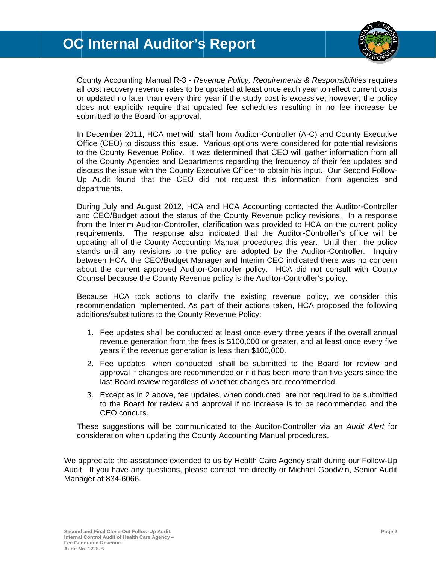### **OC Internal Auditor's Report**



County Accounting Manual R-3 - Revenue Policy, Requirements & Responsibilities requires all cost recovery revenue rates to be updated at least once each year to reflect current costs or updated no later than every third year if the study cost is excessive; however, the policy does not explicitly require that updated fee schedules resulting in no fee increase be submitted to the Board for approval.

In December 2011, HCA met with staff from Auditor-Controller (A-C) and County Executive Office (CEO) to discuss this issue. Various options were considered for potential revisions to the County Revenue Policy. It was determined that CEO will gather information from all of the County Agencies and Departments regarding the frequency of their fee updates and discuss the issue with the County Executive Officer to obtain his input. Our Second Follow-Up Audit found that the CEO did not request this information from agencies and departments.

During July and August 2012, HCA and HCA Accounting contacted the Auditor-Controller and CEO/Budget about the status of the County Revenue policy revisions. In a response from the Interim Auditor-Controller, clarification was provided to HCA on the current policy requirements. The response also indicated that the Auditor-Controller's office will be updating all of the County Accounting Manual procedures this year. Until then, the policy stands until any revisions to the policy are adopted by the Auditor-Controller. Inquiry between HCA, the CEO/Budget Manager and Interim CEO indicated there was no concern about the current approved Auditor-Controller policy. HCA did not consult with County Counsel because the County Revenue policy is the Auditor-Controller's policy.

Because HCA took actions to clarify the existing revenue policy, we consider this recommendation implemented. As part of their actions taken, HCA proposed the following additions/substitutions to the County Revenue Policy:

- 1. Fee updates shall be conducted at least once every three years if the overall annual revenue generation from the fees is \$100,000 or greater, and at least once every five years if the revenue generation is less than \$100,000.
- 2. Fee updates, when conducted, shall be submitted to the Board for review and approval if changes are recommended or if it has been more than five years since the last Board review regardless of whether changes are recommended.
- 3. Except as in 2 above, fee updates, when conducted, are not required to be submitted to the Board for review and approval if no increase is to be recommended and the CEO concurs.

These suggestions will be communicated to the Auditor-Controller via an Audit Alert for consideration when updating the County Accounting Manual procedures.

We appreciate the assistance extended to us by Health Care Agency staff during our Follow-Up Audit. If you have any questions, please contact me directly or Michael Goodwin, Senior Audit Manager at 834-6066.